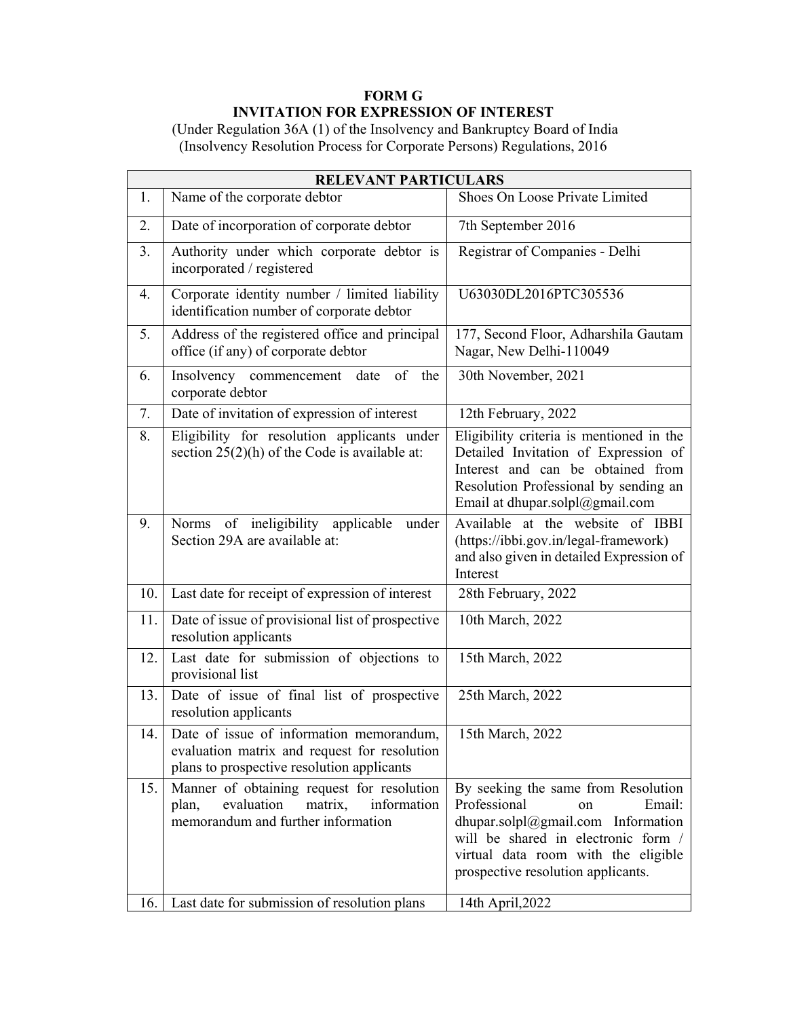## **FORM G INVITATION FOR EXPRESSION OF INTEREST**

 (Under Regulation 36A (1) of the Insolvency and Bankruptcy Board of India (Insolvency Resolution Process for Corporate Persons) Regulations, 2016

| <b>RELEVANT PARTICULARS</b> |                                                                                                                                        |                                                                                                                                                                                                                                   |
|-----------------------------|----------------------------------------------------------------------------------------------------------------------------------------|-----------------------------------------------------------------------------------------------------------------------------------------------------------------------------------------------------------------------------------|
| 1.                          | Name of the corporate debtor                                                                                                           | Shoes On Loose Private Limited                                                                                                                                                                                                    |
| 2.                          | Date of incorporation of corporate debtor                                                                                              | 7th September 2016                                                                                                                                                                                                                |
| 3.                          | Authority under which corporate debtor is<br>incorporated / registered                                                                 | Registrar of Companies - Delhi                                                                                                                                                                                                    |
| 4.                          | Corporate identity number / limited liability<br>identification number of corporate debtor                                             | U63030DL2016PTC305536                                                                                                                                                                                                             |
| 5.                          | Address of the registered office and principal<br>office (if any) of corporate debtor                                                  | 177, Second Floor, Adharshila Gautam<br>Nagar, New Delhi-110049                                                                                                                                                                   |
| 6.                          | Insolvency commencement<br>of the<br>date<br>corporate debtor                                                                          | 30th November, 2021                                                                                                                                                                                                               |
| 7.                          | Date of invitation of expression of interest                                                                                           | 12th February, 2022                                                                                                                                                                                                               |
| 8.                          | Eligibility for resolution applicants under<br>section 25(2)(h) of the Code is available at:                                           | Eligibility criteria is mentioned in the<br>Detailed Invitation of Expression of<br>Interest and can be obtained from<br>Resolution Professional by sending an<br>Email at dhupar.solpl@gmail.com                                 |
| 9.                          | Norms of ineligibility<br>applicable<br>under<br>Section 29A are available at:                                                         | Available at the website of IBBI<br>(https://ibbi.gov.in/legal-framework)<br>and also given in detailed Expression of<br>Interest                                                                                                 |
| 10.                         | Last date for receipt of expression of interest                                                                                        | 28th February, 2022                                                                                                                                                                                                               |
| 11.                         | Date of issue of provisional list of prospective<br>resolution applicants                                                              | 10th March, 2022                                                                                                                                                                                                                  |
| 12.                         | Last date for submission of objections to<br>provisional list                                                                          | 15th March, 2022                                                                                                                                                                                                                  |
| 13.                         | Date of issue of final list of prospective<br>resolution applicants                                                                    | 25th March, 2022                                                                                                                                                                                                                  |
| 14.                         | Date of issue of information memorandum,<br>evaluation matrix and request for resolution<br>plans to prospective resolution applicants | 15th March, 2022                                                                                                                                                                                                                  |
| 15.                         | Manner of obtaining request for resolution<br>evaluation<br>matrix,<br>information<br>plan,<br>memorandum and further information      | By seeking the same from Resolution<br>Professional<br>Email:<br>on<br>dhupar.solpl $@g$ mail.com Information<br>will be shared in electronic form /<br>virtual data room with the eligible<br>prospective resolution applicants. |
| 16.                         | Last date for submission of resolution plans                                                                                           | 14th April, 2022                                                                                                                                                                                                                  |